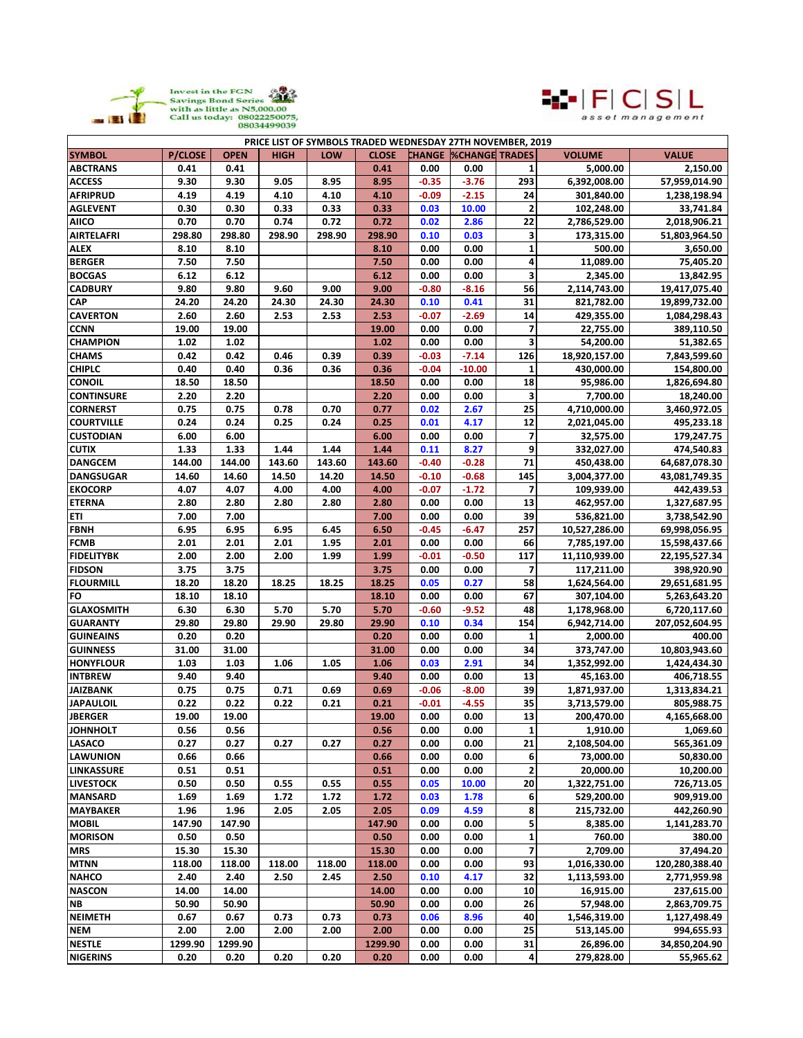



| PRICE LIST OF SYMBOLS TRADED WEDNESDAY 27TH NOVEMBER, 2019 |                |             |             |            |              |         |                              |                          |               |                |  |
|------------------------------------------------------------|----------------|-------------|-------------|------------|--------------|---------|------------------------------|--------------------------|---------------|----------------|--|
| <b>SYMBOL</b>                                              | <b>P/CLOSE</b> | <b>OPEN</b> | <b>HIGH</b> | <b>LOW</b> | <b>CLOSE</b> |         | <b>CHANGE SCHANGE TRADES</b> |                          | <b>VOLUME</b> | <b>VALUE</b>   |  |
| <b>ABCTRANS</b>                                            | 0.41           | 0.41        |             |            | 0.41         | 0.00    | 0.00                         | 1                        | 5,000.00      | 2,150.00       |  |
| <b>ACCESS</b>                                              | 9.30           | 9.30        | 9.05        | 8.95       | 8.95         | $-0.35$ | $-3.76$                      | 293                      | 6,392,008.00  | 57,959,014.90  |  |
| <b>AFRIPRUD</b>                                            | 4.19           | 4.19        | 4.10        | 4.10       | 4.10         | $-0.09$ | $-2.15$                      | 24                       | 301,840.00    | 1,238,198.94   |  |
| <b>AGLEVENT</b>                                            | 0.30           | 0.30        | 0.33        | 0.33       | 0.33         | 0.03    | 10.00                        | $\overline{\mathbf{2}}$  | 102,248.00    | 33,741.84      |  |
| <b>AIICO</b>                                               | 0.70           | 0.70        | 0.74        | 0.72       | 0.72         | 0.02    | 2.86                         | 22                       | 2,786,529.00  | 2,018,906.21   |  |
| <b>AIRTELAFRI</b>                                          | 298.80         | 298.80      | 298.90      | 298.90     | 298.90       | 0.10    | 0.03                         | 3                        | 173,315.00    | 51,803,964.50  |  |
| <b>ALEX</b>                                                | 8.10           | 8.10        |             |            | 8.10         | 0.00    | 0.00                         | $\mathbf 1$              | 500.00        | 3,650.00       |  |
| <b>BERGER</b>                                              | 7.50           | 7.50        |             |            | 7.50         | 0.00    | 0.00                         | 4                        | 11,089.00     | 75,405.20      |  |
| <b>BOCGAS</b>                                              | 6.12           | 6.12        |             |            | 6.12         | 0.00    | 0.00                         | 3                        | 2,345.00      | 13,842.95      |  |
| <b>CADBURY</b>                                             | 9.80           | 9.80        | 9.60        | 9.00       | 9.00         | $-0.80$ | $-8.16$                      | 56                       | 2,114,743.00  | 19,417,075.40  |  |
| CAP                                                        | 24.20          | 24.20       | 24.30       | 24.30      | 24.30        | 0.10    | 0.41                         | 31                       | 821,782.00    | 19,899,732.00  |  |
| <b>CAVERTON</b>                                            | 2.60           | 2.60        | 2.53        | 2.53       | 2.53         | $-0.07$ | $-2.69$                      | 14                       | 429,355.00    | 1,084,298.43   |  |
| <b>CCNN</b>                                                | 19.00          | 19.00       |             |            | 19.00        | 0.00    | 0.00                         | $\overline{\phantom{a}}$ | 22,755.00     | 389,110.50     |  |
| <b>CHAMPION</b>                                            | 1.02           | 1.02        |             |            | 1.02         | 0.00    | 0.00                         | 3                        | 54,200.00     | 51,382.65      |  |
| <b>CHAMS</b>                                               | 0.42           | 0.42        | 0.46        | 0.39       | 0.39         | $-0.03$ | $-7.14$                      | 126                      | 18,920,157.00 | 7,843,599.60   |  |
| <b>CHIPLC</b>                                              | 0.40           | 0.40        | 0.36        | 0.36       | 0.36         | $-0.04$ | $-10.00$                     | 1                        | 430,000.00    | 154,800.00     |  |
| <b>CONOIL</b>                                              | 18.50          | 18.50       |             |            | 18.50        | 0.00    | 0.00                         | 18                       | 95,986.00     | 1,826,694.80   |  |
| <b>CONTINSURE</b>                                          | 2.20           | 2.20        |             |            | 2.20         | 0.00    | 0.00                         | 3                        | 7,700.00      | 18,240.00      |  |
| <b>CORNERST</b>                                            | 0.75           | 0.75        | 0.78        | 0.70       | 0.77         | 0.02    | 2.67                         | 25                       | 4,710,000.00  | 3,460,972.05   |  |
| <b>COURTVILLE</b>                                          | 0.24           | 0.24        | 0.25        | 0.24       | 0.25         | 0.01    | 4.17                         | 12                       | 2,021,045.00  | 495,233.18     |  |
| <b>CUSTODIAN</b>                                           | 6.00           | 6.00        |             |            | 6.00         | 0.00    | 0.00                         | 7                        | 32,575.00     | 179,247.75     |  |
| <b>CUTIX</b>                                               | 1.33           | 1.33        | 1.44        | 1.44       | 1.44         | 0.11    | 8.27                         | 9                        |               |                |  |
|                                                            | 144.00         |             |             |            |              |         |                              |                          | 332,027.00    | 474,540.83     |  |
| <b>DANGCEM</b>                                             |                | 144.00      | 143.60      | 143.60     | 143.60       | $-0.40$ | $-0.28$                      | 71                       | 450,438.00    | 64,687,078.30  |  |
| <b>DANGSUGAR</b>                                           | 14.60          | 14.60       | 14.50       | 14.20      | 14.50        | $-0.10$ | $-0.68$                      | 145<br>$\overline{7}$    | 3,004,377.00  | 43,081,749.35  |  |
| <b>EKOCORP</b>                                             | 4.07           | 4.07        | 4.00        | 4.00       | 4.00         | $-0.07$ | $-1.72$                      |                          | 109,939.00    | 442,439.53     |  |
| <b>ETERNA</b>                                              | 2.80           | 2.80        | 2.80        | 2.80       | 2.80         | 0.00    | 0.00                         | 13                       | 462,957.00    | 1,327,687.95   |  |
| <b>ETI</b>                                                 | 7.00           | 7.00        |             |            | 7.00         | 0.00    | 0.00                         | 39                       | 536,821.00    | 3,738,542.90   |  |
| <b>FBNH</b>                                                | 6.95           | 6.95        | 6.95        | 6.45       | 6.50         | $-0.45$ | $-6.47$                      | 257                      | 10,527,286.00 | 69,998,056.95  |  |
| <b>FCMB</b>                                                | 2.01           | 2.01        | 2.01        | 1.95       | 2.01         | 0.00    | 0.00                         | 66                       | 7,785,197.00  | 15,598,437.66  |  |
| <b>FIDELITYBK</b>                                          | 2.00           | 2.00        | 2.00        | 1.99       | 1.99         | $-0.01$ | $-0.50$                      | 117                      | 11,110,939.00 | 22,195,527.34  |  |
| <b>FIDSON</b>                                              | 3.75           | 3.75        |             |            | 3.75         | 0.00    | 0.00                         | $\overline{\mathbf{z}}$  | 117,211.00    | 398,920.90     |  |
| <b>FLOURMILL</b>                                           | 18.20          | 18.20       | 18.25       | 18.25      | 18.25        | 0.05    | 0.27                         | 58                       | 1,624,564.00  | 29,651,681.95  |  |
| FO                                                         | 18.10          | 18.10       |             |            | 18.10        | 0.00    | 0.00                         | 67                       | 307,104.00    | 5,263,643.20   |  |
| <b>GLAXOSMITH</b>                                          | 6.30           | 6.30        | 5.70        | 5.70       | 5.70         | $-0.60$ | $-9.52$                      | 48                       | 1,178,968.00  | 6,720,117.60   |  |
| <b>GUARANTY</b>                                            | 29.80          | 29.80       | 29.90       | 29.80      | 29.90        | 0.10    | 0.34                         | 154                      | 6,942,714.00  | 207,052,604.95 |  |
| <b>GUINEAINS</b>                                           | 0.20           | 0.20        |             |            | 0.20         | 0.00    | 0.00                         | 1                        | 2,000.00      | 400.00         |  |
| <b>GUINNESS</b>                                            | 31.00          | 31.00       |             |            | 31.00        | 0.00    | 0.00                         | 34                       | 373,747.00    | 10,803,943.60  |  |
| <b>HONYFLOUR</b>                                           | 1.03           | 1.03        | 1.06        | 1.05       | 1.06         | 0.03    | 2.91                         | 34                       | 1,352,992.00  | 1,424,434.30   |  |
| <b>INTBREW</b>                                             | 9.40           | 9.40        |             |            | 9.40         | 0.00    | 0.00                         | 13                       | 45,163.00     | 406,718.55     |  |
| <b>JAIZBANK</b>                                            | 0.75           | 0.75        | 0.71        | 0.69       | 0.69         | $-0.06$ | $-8.00$                      | 39                       | 1,871,937.00  | 1,313,834.21   |  |
| <b>JAPAULOIL</b>                                           | 0.22           | 0.22        | 0.22        | 0.21       | 0.21         | $-0.01$ | $-4.55$                      | 35                       | 3,713,579.00  | 805,988.75     |  |
| <b>JBERGER</b>                                             | 19.00          | 19.00       |             |            | 19.00        | 0.00    | 0.00                         | 13                       | 200,470.00    | 4,165,668.00   |  |
| <b>JOHNHOLT</b>                                            | 0.56           | 0.56        |             |            | 0.56         | 0.00    | 0.00                         | $\mathbf{1}$             | 1,910.00      | 1,069.60       |  |
| <b>LASACO</b>                                              | 0.27           | 0.27        | 0.27        | 0.27       | 0.27         | 0.00    | 0.00                         | 21                       | 2,108,504.00  | 565,361.09     |  |
| <b>LAWUNION</b>                                            | 0.66           | 0.66        |             |            | 0.66         | 0.00    | 0.00                         | 6                        | 73,000.00     | 50,830.00      |  |
| <b>LINKASSURE</b>                                          | 0.51           | 0.51        |             |            | 0.51         | 0.00    | 0.00                         | 2                        | 20,000.00     | 10,200.00      |  |
| <b>LIVESTOCK</b>                                           | 0.50           | 0.50        | 0.55        | 0.55       | 0.55         | 0.05    | 10.00                        | 20                       | 1,322,751.00  | 726,713.05     |  |
| <b>MANSARD</b>                                             | 1.69           | 1.69        | 1.72        | 1.72       | 1.72         | 0.03    | 1.78                         | 6                        | 529,200.00    | 909,919.00     |  |
| <b>MAYBAKER</b>                                            | 1.96           | 1.96        | 2.05        | 2.05       | 2.05         | 0.09    | 4.59                         | 8                        | 215,732.00    | 442,260.90     |  |
| <b>MOBIL</b>                                               | 147.90         | 147.90      |             |            | 147.90       | 0.00    | 0.00                         | 5                        | 8,385.00      | 1,141,283.70   |  |
| <b>MORISON</b>                                             | 0.50           | 0.50        |             |            | 0.50         | 0.00    | 0.00                         | $\mathbf 1$              | 760.00        | 380.00         |  |
| <b>MRS</b>                                                 | 15.30          | 15.30       |             |            | 15.30        | 0.00    | 0.00                         | $\overline{\mathbf{z}}$  | 2,709.00      | 37,494.20      |  |
| <b>MTNN</b>                                                | 118.00         | 118.00      | 118.00      | 118.00     | 118.00       | 0.00    | 0.00                         | 93                       | 1,016,330.00  | 120,280,388.40 |  |
| <b>NAHCO</b>                                               | 2.40           | 2.40        | 2.50        | 2.45       | 2.50         | 0.10    | 4.17                         | 32                       | 1,113,593.00  | 2,771,959.98   |  |
| <b>NASCON</b>                                              | 14.00          | 14.00       |             |            | 14.00        | 0.00    | 0.00                         | 10                       | 16,915.00     | 237,615.00     |  |
| <b>NB</b>                                                  | 50.90          | 50.90       |             |            | 50.90        | 0.00    | 0.00                         | 26                       | 57,948.00     | 2,863,709.75   |  |
| <b>NEIMETH</b>                                             | 0.67           | 0.67        | 0.73        | 0.73       | 0.73         | 0.06    | 8.96                         | 40                       | 1,546,319.00  | 1,127,498.49   |  |
| <b>NEM</b>                                                 | 2.00           | 2.00        | 2.00        | 2.00       | 2.00         | 0.00    | 0.00                         | 25                       | 513,145.00    | 994,655.93     |  |
| <b>NESTLE</b>                                              | 1299.90        | 1299.90     |             |            | 1299.90      | 0.00    | 0.00                         | 31                       | 26,896.00     | 34,850,204.90  |  |
| <b>NIGERINS</b>                                            | 0.20           | 0.20        | 0.20        | 0.20       | 0.20         | 0.00    | 0.00                         | 4                        | 279,828.00    | 55,965.62      |  |